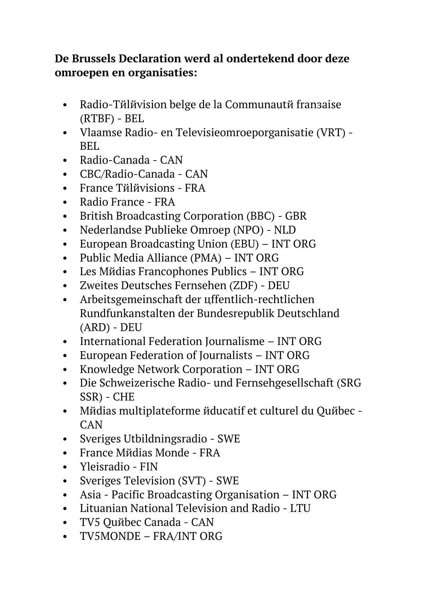## **De Brussels Declaration werd al ondertekend door deze omroepen en organisaties:**

- Radio-Tйlйvision belge de la Communautй fransaise (RTBF) - BEL
- Vlaamse Radio- en Televisieomroeporganisatie (VRT) BEL
- Radio-Canada CAN
- CBC/Radio-Canada CAN
- France Tйlйvisions FRA
- Radio France FRA
- British Broadcasting Corporation (BBC) GBR
- Nederlandse Publieke Omroep (NPO) NLD
- European Broadcasting Union (EBU) INT ORG
- Public Media Alliance (PMA) INT ORG
- Les Mйdias Francophones Publics INT ORG
- Zweites Deutsches Fernsehen (ZDF) DEU
- Arbeitsgemeinschaft der uffentlich-rechtlichen Rundfunkanstalten der Bundesrepublik Deutschland (ARD) - DEU
- International Federation Journalisme INT ORG
- European Federation of Journalists INT ORG
- Knowledge Network Corporation INT ORG
- Die Schweizerische Radio- und Fernsehgesellschaft (SRG SSR) - CHE
- Mйdias multiplateforme йducatif et culturel du Quйbec -CAN
- Sveriges Utbildningsradio SWE
- France Mйdias Monde FRA
- Yleisradio FIN
- Sveriges Television (SVT) SWE
- Asia Pacific Broadcasting Organisation INT ORG
- Lituanian National Television and Radio LTU
- TV5 Ouйbec Canada CAN
- TV5MONDE FRA/INT ORG